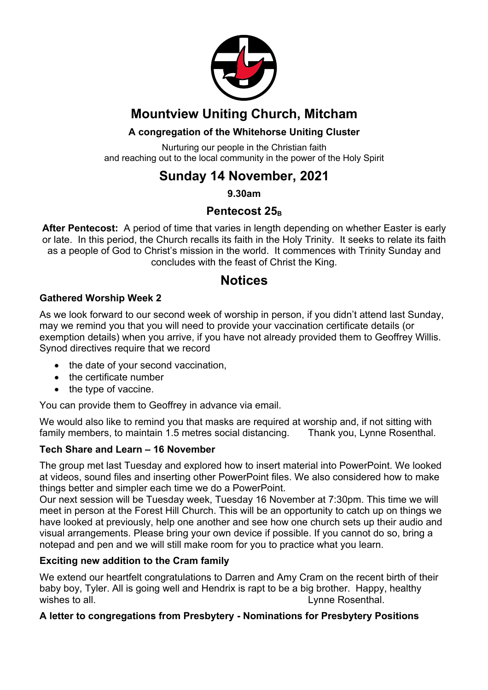

# **Mountview Uniting Church, Mitcham**

### **A congregation of the Whitehorse Uniting Cluster**

Nurturing our people in the Christian faith and reaching out to the local community in the power of the Holy Spirit

# **Sunday 14 November, 2021**

**9.30am**

## **Pentecost 25**<sub>B</sub>

**After Pentecost:** A period of time that varies in length depending on whether Easter is early or late. In this period, the Church recalls its faith in the Holy Trinity. It seeks to relate its faith as a people of God to Christ's mission in the world. It commences with Trinity Sunday and concludes with the feast of Christ the King.

## **Notices**

#### **Gathered Worship Week 2**

As we look forward to our second week of worship in person, if you didn't attend last Sunday, may we remind you that you will need to provide your vaccination certificate details (or exemption details) when you arrive, if you have not already provided them to Geoffrey Willis. Synod directives require that we record

- the date of your second vaccination,
- the certificate number
- the type of vaccine.

You can provide them to Geoffrey in advance via email.

We would also like to remind you that masks are required at worship and, if not sitting with family members, to maintain 1.5 metres social distancing. Thank you, Lynne Rosenthal.

#### **Tech Share and Learn – 16 November**

The group met last Tuesday and explored how to insert material into PowerPoint. We looked at videos, sound files and inserting other PowerPoint files. We also considered how to make things better and simpler each time we do a PowerPoint.

Our next session will be Tuesday week, Tuesday 16 November at 7:30pm. This time we will meet in person at the Forest Hill Church. This will be an opportunity to catch up on things we have looked at previously, help one another and see how one church sets up their audio and visual arrangements. Please bring your own device if possible. If you cannot do so, bring a notepad and pen and we will still make room for you to practice what you learn.

#### **Exciting new addition to the Cram family**

We extend our heartfelt congratulations to Darren and Amy Cram on the recent birth of their baby boy, Tyler. All is going well and Hendrix is rapt to be a big brother. Happy, healthy wishes to all. **Lynne Rosenthal.** And the set of the set of the set of the set of the set of the set of the set of the set of the set of the set of the set of the set of the set of the set of the set of the set of the set

#### **A letter to congregations from Presbytery - Nominations for Presbytery Positions**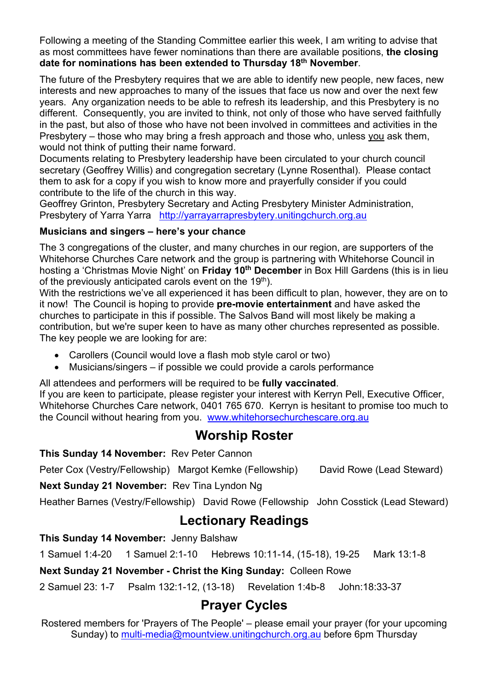Following a meeting of the Standing Committee earlier this week, I am writing to advise that as most committees have fewer nominations than there are available positions, **the closing date for nominations has been extended to Thursday 18th November**.

The future of the Presbytery requires that we are able to identify new people, new faces, new interests and new approaches to many of the issues that face us now and over the next few years. Any organization needs to be able to refresh its leadership, and this Presbytery is no different. Consequently, you are invited to think, not only of those who have served faithfully in the past, but also of those who have not been involved in committees and activities in the Presbytery – those who may bring a fresh approach and those who, unless you ask them, would not think of putting their name forward.

Documents relating to Presbytery leadership have been circulated to your church council secretary (Geoffrey Willis) and congregation secretary (Lynne Rosenthal). Please contact them to ask for a copy if you wish to know more and prayerfully consider if you could contribute to the life of the church in this way.

Geoffrey Grinton, Presbytery Secretary and Acting Presbytery Minister Administration, Presbytery of Yarra Yarra http://yarrayarrapresbytery.unitingchurch.org.au

#### **Musicians and singers – here's your chance**

The 3 congregations of the cluster, and many churches in our region, are supporters of the Whitehorse Churches Care network and the group is partnering with Whitehorse Council in hosting a 'Christmas Movie Night' on **Friday 10th December** in Box Hill Gardens (this is in lieu of the previously anticipated carols event on the  $19<sup>th</sup>$ ).

With the restrictions we've all experienced it has been difficult to plan, however, they are on to it now! The Council is hoping to provide **pre-movie entertainment** and have asked the churches to participate in this if possible. The Salvos Band will most likely be making a contribution, but we're super keen to have as many other churches represented as possible. The key people we are looking for are:

- Carollers (Council would love a flash mob style carol or two)
- Musicians/singers if possible we could provide a carols performance

All attendees and performers will be required to be **fully vaccinated**.

If you are keen to participate, please register your interest with Kerryn Pell, Executive Officer, Whitehorse Churches Care network, 0401 765 670. Kerryn is hesitant to promise too much to the Council without hearing from you. www.whitehorsechurchescare.org.au

## **Worship Roster**

#### **This Sunday 14 November:** Rev Peter Cannon

Peter Cox (Vestry/Fellowship) Margot Kemke (Fellowship) David Rowe (Lead Steward)

**Next Sunday 21 November:** Rev Tina Lyndon Ng

Heather Barnes (Vestry/Fellowship) David Rowe (Fellowship John Cosstick (Lead Steward)

## **Lectionary Readings**

**This Sunday 14 November:** Jenny Balshaw

1 Samuel 1:4-20 1 Samuel 2:1-10 Hebrews 10:11-14, (15-18), 19-25 Mark 13:1-8

**Next Sunday 21 November - Christ the King Sunday:** Colleen Rowe

2 Samuel 23: 1-7 Psalm 132:1-12, (13-18) Revelation 1:4b-8 John:18:33-37

## **Prayer Cycles**

Rostered members for 'Prayers of The People' – please email your prayer (for your upcoming Sunday) to multi-media@mountview.unitingchurch.org.au before 6pm Thursday